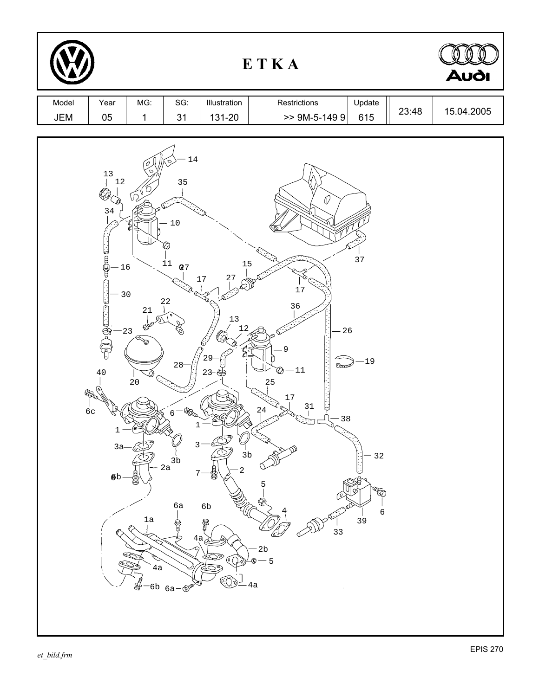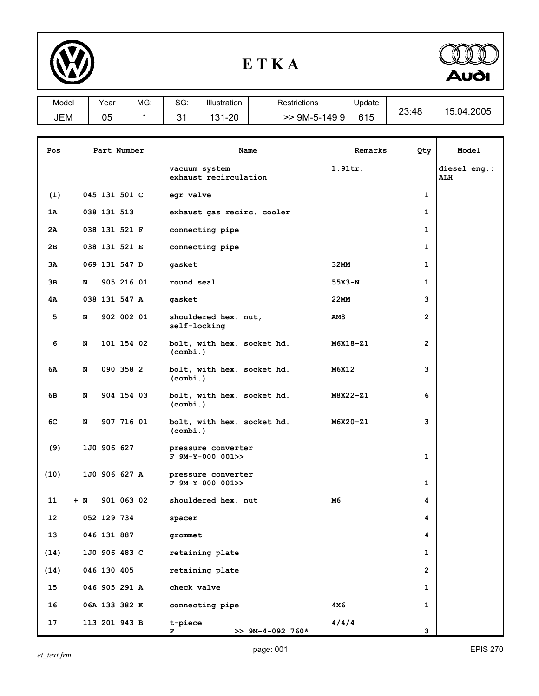

## **E T K A**



| Model      | Vear     | MG: | $\circ$ $\circ$ $\circ$<br>ას. | Illustration            | Restrictions        | Update | 23:48 |                    |
|------------|----------|-----|--------------------------------|-------------------------|---------------------|--------|-------|--------------------|
| <b>JEM</b> | በፍ<br>uJ |     | $\ddot{\phantom{1}}$<br>ັ      | ററ<br>- 24<br>⊦-∠∪<br>ັ | 9M-5-149<br>9<br>>> | 615    |       | .2005<br>04.<br>15 |

| Pos  | Part Number   |  | Name       | Remarks                                  | Qty        | Model          |                            |
|------|---------------|--|------------|------------------------------------------|------------|----------------|----------------------------|
|      |               |  |            | vacuum system<br>exhaust recirculation   | 1.91tr.    |                | diesel eng.:<br><b>ALH</b> |
| (1)  | 045 131 501 C |  |            | egr valve                                |            | 1              |                            |
| 1A   | 038 131 513   |  |            | exhaust gas recirc. cooler               |            | 1              |                            |
| 2Α   | 038 131 521 F |  |            | connecting pipe                          |            | 1              |                            |
| 2в   | 038 131 521 E |  |            | connecting pipe                          |            | 1              |                            |
| ЗΑ   | 069 131 547 D |  |            | gasket                                   | 32MM       | 1              |                            |
| 3в   | N             |  | 905 216 01 | round seal                               | 55X3-N     | 1              |                            |
| 4Α   | 038 131 547 A |  |            | gasket                                   | 22MM       | 3              |                            |
| 5    | N             |  | 902 002 01 | shouldered hex. nut,<br>self-locking     | <b>AM8</b> | $\overline{2}$ |                            |
| 6    | N             |  | 101 154 02 | bolt, with hex. socket hd.<br>(combi.)   | M6X18-Z1   | $\overline{2}$ |                            |
| 6А   | N             |  | 090 358 2  | bolt, with hex. socket hd.<br>(combi.)   | M6X12      | 3              |                            |
| 6В   | N             |  | 904 154 03 | bolt, with hex. socket hd.<br>(combi.)   | M8X22-Z1   | 6              |                            |
| 6C   | N             |  | 907 716 01 | bolt, with hex. socket hd.<br>(combi.)   | M6X20-Z1   | 3              |                            |
| (9)  | 1J0 906 627   |  |            | pressure converter<br>$F$ 9M-Y-000 001>> |            | $\mathbf{1}$   |                            |
| (10) | 1J0 906 627 A |  |            | pressure converter<br>F 9M-Y-000 001>>   |            | $\mathbf{1}$   |                            |
| 11   | $+ N$         |  | 901 063 02 | shouldered hex. nut                      | M6         | 4              |                            |
| 12   | 052 129 734   |  |            | spacer                                   |            | 4              |                            |
| 13   | 046 131 887   |  |            | grommet                                  |            | 4              |                            |
| (14) | 1J0 906 483 C |  |            | retaining plate                          |            | $\mathbf{1}$   |                            |
| (14) | 046 130 405   |  |            | retaining plate                          |            | $\overline{2}$ |                            |
| 15   | 046 905 291 A |  |            | check valve                              |            | 1              |                            |
| 16   | 06A 133 382 K |  |            | connecting pipe                          | 4X6        | 1              |                            |
| 17   | 113 201 943 B |  |            | t-piece<br>$>> 9M-4-092 760*$<br>F       | 4/4/4      | 3              |                            |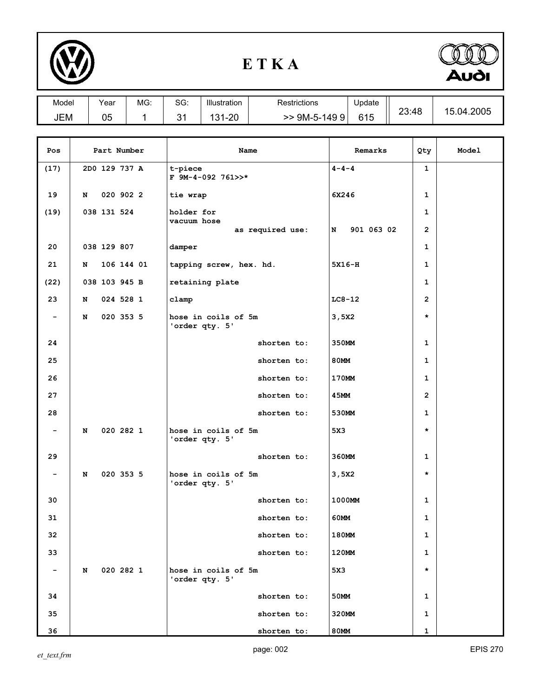

## **E T K A**



| Model |             | Year          | MG:  | SG:             | Illustration                   | <b>Restrictions</b> |                       | Update      |       |                | 15.04.2005 |
|-------|-------------|---------------|------|-----------------|--------------------------------|---------------------|-----------------------|-------------|-------|----------------|------------|
| JEM   |             | 05            | 1    | 31              | 131-20                         |                     | 615<br>$>$ 9M-5-149 9 |             | 23:48 |                |            |
|       |             |               |      |                 |                                |                     |                       |             |       |                |            |
| Pos   | Part Number |               | Name |                 | Remarks                        |                     | Qty                   | Model       |       |                |            |
| (17)  |             | 2D0 129 737 A |      |                 | t-piece<br>$F$ 9M-4-092 761>>* |                     |                       | $4 - 4 - 4$ |       | $\mathbf{1}$   |            |
| 19    | N           | 020 902 2     |      |                 | tie wrap                       |                     |                       | 6X246       |       |                |            |
| (19)  |             | 038 131 524   |      |                 | holder for<br>vacuum hose      |                     |                       |             |       | $\mathbf{1}$   |            |
|       |             |               |      |                 |                                | as required use:    | N                     | 901 063 02  |       | $\overline{2}$ |            |
| 20    |             | 038 129 807   |      | damper          |                                |                     |                       |             |       | 1              |            |
| 21    | N           | 106 144 01    |      |                 | tapping screw, hex. hd.        |                     |                       | 5X16-H      |       | 1              |            |
| (22)  |             | 038 103 945 B |      | retaining plate |                                |                     |                       |             |       | $\mathbf{1}$   |            |

**3,5X2 \***

**5X3 \***

**3,5X2 \***

**5X3 \***

 **23 N 024 528 1 clamp LC8-12 2**

24 **Shorten to:** 350MM 1 25 **Shorten to:** 80MM 1 26 **b 26** shorten to: 170MM 1

**27 b 27 c 27 c 2 c 2 c 2 c 2 c 2 c 2 c 2 c 2 c** 28 **b** 28 shorten to: 530MM 1

**29 b 29 c 1 c 1 c 1 c 1 c 1 c 1 c 1 c 1 c 1 c** 

**30 b 1000MM** 1  **31 shorten to: 60MM 1**

**32 b 180MM** 1  **33 shorten to: 120MM 1**

**34 b 1 1 1 c 1 c 1 c 1 c 1 1 1** 35 **Shorten to:** 320MM 1

**36 shorten to:** 80MM 1

**'order qty. 5'**

**'order qty. 5'**

**'order qty. 5'**

**'order qty. 5'**

 **- N 020 353 5 hose in coils of 5m**

 **- N 020 282 1 hose in coils of 5m**

 **- N 020 353 5 hose in coils of 5m**

 **- N 020 282 1 hose in coils of 5m**